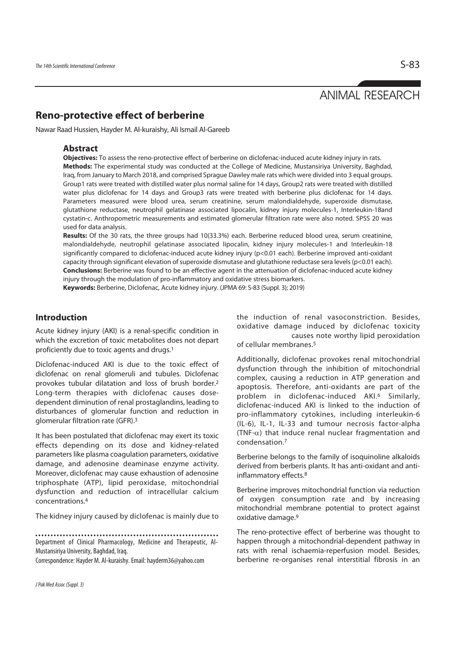# ANIMAL RESEARCH

# **Reno-protective effect of berberine**

Nawar Raad Hussien, Hayder M. Al-kuraishy, Ali Ismail Al-Gareeb

### **Abstract**

**Objectives:** To assess the reno-protective effect of berberine on diclofenac-induced acute kidney injury in rats. **Methods:** The experimental study was conducted at the College of Medicine, Mustansiriya University, Baghdad, Iraq, from January to March 2018, and comprised Sprague Dawley male rats which were divided into 3 equal groups. Group1 rats were treated with distilled water plus normal saline for 14 days, Group2 rats were treated with distilled water plus diclofenac for 14 days and Group3 rats were treated with berberine plus diclofenac for 14 days. Parameters measured were blood urea, serum creatinine, serum malondialdehyde, superoxide dismutase, glutathione reductase, neutrophil gelatinase associated lipocalin, kidney injury molecules-1, Interleukin-18and cystatin-c. Anthropometric measurements and estimated glomerular filtration rate were also noted. SPSS 20 was used for data analysis.

**Results:** Of the 30 rats, the three groups had 10(33.3%) each. Berberine reduced blood urea, serum creatinine, malondialdehyde, neutrophil gelatinase associated lipocalin, kidney injury molecules-1 and Interleukin-18 significantly compared to diclofenac-induced acute kidney injury (p<0.01 each). Berberine improved anti-oxidant capacity through significant elevation of superoxide dismutase and glutathione reductase sera levels (p<0.01 each). **Conclusions:** Berberine was found to be an effective agent in the attenuation of diclofenac-induced acute kidney injury through the modulation of pro-inflammatory and oxidative stress biomarkers.

**Keywords:** Berberine, Diclofenac, Acute kidney injury. (JPMA 69: S-83 (Suppl. 3); 2019)

## **Introduction**

Acute kidney injury (AKI) is a renal-specific condition in which the excretion of toxic metabolites does not depart proficiently due to toxic agents and drugs.1

Diclofenac-induced AKI is due to the toxic effect of diclofenac on renal glomeruli and tubules. Diclofenac provokes tubular dilatation and loss of brush border.2 Long-term therapies with diclofenac causes dosedependent diminution of renal prostaglandins, leading to disturbances of glomerular function and reduction in glomerular filtration rate (GFR).3

It has been postulated that diclofenac may exert its toxic effects depending on its dose and kidney-related parameters like plasma coagulation parameters, oxidative damage, and adenosine deaminase enzyme activity. Moreover, diclofenac may cause exhaustion of adenosine triphosphate (ATP), lipid peroxidase, mitochondrial dysfunction and reduction of intracellular calcium concentrations.4

The kidney injury caused by diclofenac is mainly due to

Department of Clinical Pharmacology, Medicine and Therapeutic, Al-Mustansiriya University, Baghdad, Iraq.

Correspondence: Hayder M. Al-kuraishy. Email: hayderm36@yahoo.com

the induction of renal vasoconstriction. Besides, oxidative damage induced by diclofenac toxicity causes note worthy lipid peroxidation of cellular membranes.5

Additionally, diclofenac provokes renal mitochondrial dysfunction through the inhibition of mitochondrial complex, causing a reduction in ATP generation and apoptosis. Therefore, anti-oxidants are part of the problem in diclofenac-induced AKI.6 Similarly, diclofenac-induced AKI is linked to the induction of pro-inflammatory cytokines, including interleukin-6 (IL-6), IL-1, IL-33 and tumour necrosis factor-alpha (TNF- $\alpha$ ) that induce renal nuclear fragmentation and condensation.7

Berberine belongs to the family of isoquinoline alkaloids derived from berberis plants. It has anti-oxidant and antiinflammatory effects.8

Berberine improves mitochondrial function via reduction of oxygen consumption rate and by increasing mitochondrial membrane potential to protect against oxidative damage.<sup>9</sup>

The reno-protective effect of berberine was thought to happen through a mitochondrial-dependent pathway in rats with renal ischaemia-reperfusion model. Besides, berberine re-organises renal interstitial fibrosis in an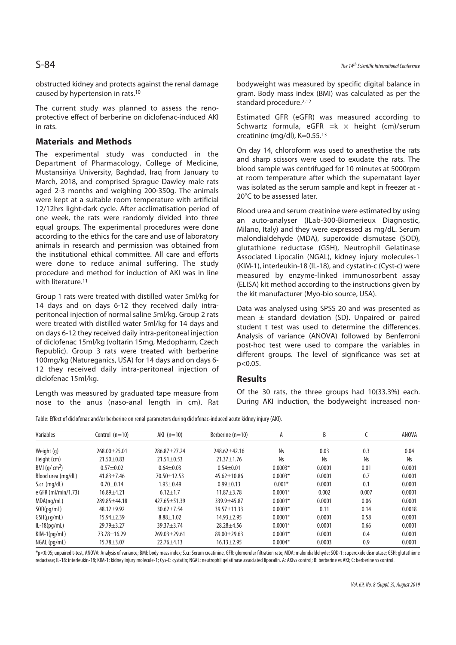obstructed kidney and protects against the renal damage caused by hypertension in rats.10

The current study was planned to assess the renoprotective effect of berberine on diclofenac-induced AKI in rats.

### **Materials and Methods**

The experimental study was conducted in the Department of Pharmacology, College of Medicine, Mustansiriya University, Baghdad, Iraq from January to March, 2018, and comprised Sprague Dawley male rats aged 2-3 months and weighing 200-350g. The animals were kept at a suitable room temperature with artificial 12/12hrs light-dark cycle. After acclimatisation period of one week, the rats were randomly divided into three equal groups. The experimental procedures were done according to the ethics for the care and use of laboratory animals in research and permission was obtained from the institutional ethical committee. All care and efforts were done to reduce animal suffering. The study procedure and method for induction of AKI was in line with literature.11

Group 1 rats were treated with distilled water 5ml/kg for 14 days and on days 6-12 they received daily intraperitoneal injection of normal saline 5ml/kg. Group 2 rats were treated with distilled water 5ml/kg for 14 days and on days 6-12 they received daily intra-peritoneal injection of diclofenac 15ml/kg (voltarin 15mg, Medopharm, Czech Republic). Group 3 rats were treated with berberine 100mg/kg (Natureganics, USA) for 14 days and on days 6- 12 they received daily intra-peritoneal injection of diclofenac 15ml/kg.

Length was measured by graduated tape measure from nose to the anus (naso-anal length in cm). Rat bodyweight was measured by specific digital balance in gram. Body mass index (BMI) was calculated as per the standard procedure.2,12

Estimated GFR (eGFR) was measured according to Schwartz formula, eGFR  $=k \times$  height (cm)/serum creatinine (mg/dl), K=0.55.13

On day 14, chloroform was used to anesthetise the rats and sharp scissors were used to exudate the rats. The blood sample was centrifuged for 10 minutes at 5000rpm at room temperature after which the supernatant layer was isolated as the serum sample and kept in freezer at - 20°C to be assessed later.

Blood urea and serum creatinine were estimated by using an auto-analyser (ILab-300-Biomerieux Diagnostic, Milano, Italy) and they were expressed as mg/dL. Serum malondialdehyde (MDA), superoxide dismutase (SOD), glutathione reductase (GSH), Neutrophil Gelatinase Associated Lipocalin (NGAL), kidney injury molecules-1 (KIM-1), interleukin-18 (IL-18), and cystatin-c (Cyst-c) were measured by enzyme-linked immunosorbent assay (ELISA) kit method according to the instructions given by the kit manufacturer (Myo-bio source, USA).

Data was analysed using SPSS 20 and was presented as mean ± standard deviation (SD). Unpaired or paired student t test was used to determine the differences. Analysis of variance (ANOVA) followed by Benferroni post-hoc test were used to compare the variables in different groups. The level of significance was set at p<0.05.

#### **Results**

Of the 30 rats, the three groups had 10(33.3%) each. During AKI induction, the bodyweight increased non-

Table: Effect of diclofenac and/or berberine on renal parameters during diclofenac-induced acute kidney injury (AKI).

| Variables            | Control $(n=10)$   | AKI $(n=10)$      | Berberine (n=10)  | А         | B         |       | ANOVA     |
|----------------------|--------------------|-------------------|-------------------|-----------|-----------|-------|-----------|
| Weight (g)           | $268.00 \pm 25.01$ | $286.87 + 27.24$  | $248.62 + 42.16$  | <b>Ns</b> | 0.03      | 0.3   | 0.04      |
| Height (cm)          | $21.50 + 0.83$     | $21.51 \pm 0.53$  | $21.37 \pm 1.76$  | <b>Ns</b> | <b>Ns</b> | Ns    | <b>Ns</b> |
| BMI $(g/cm2)$        | $0.57 + 0.02$      | $0.64 + 0.03$     | $0.54 + 0.01$     | $0.0003*$ | 0.0001    | 0.01  | 0.0001    |
| Blood urea (mg/dL)   | $41.83 + 7.46$     | $70.50 \pm 12.53$ | $45.62 \pm 10.86$ | $0.0003*$ | 0.0001    | 0.7   | 0.0001    |
| $S_{\rm cr}$ (mg/dL) | $0.70 + 0.14$      | $1.93 + 0.49$     | $0.99 + 0.13$     | $0.001*$  | 0.0001    | 0.1   | 0.0001    |
| e GFR (ml/min/1.73)  | $16.89 + 4.21$     | $6.12 + 1.7$      | $11.87 + 3.78$    | $0.0001*$ | 0.002     | 0.007 | 0.0001    |
| MDA(nq/mL)           | $289.85 + 44.18$   | $427.65 + 51.39$  | $339.9 + 45.87$   | $0.0001*$ | 0.0001    | 0.06  | 0.0001    |
| SOD(pg/mL)           | $48.12 + 9.92$     | $30.62 + 7.54$    | $39.57 + 11.33$   | $0.0003*$ | 0.11      | 0.14  | 0.0018    |
| $GSH(\mu q/mL)$      | $15.94 \pm 2.39$   | $8.88 + 1.02$     | $14.93 \pm 2.95$  | $0.0001*$ | 0.0001    | 0.58  | 0.0001    |
| $IL-18(pq/mL)$       | $29.79 + 3.27$     | $39.37 + 3.74$    | $28.28 + 4.56$    | $0.0001*$ | 0.0001    | 0.66  | 0.0001    |
| $KIM-1(pq/mL)$       | $73.78 \pm 16.29$  | $269.03 + 29.61$  | $89.00 + 29.63$   | $0.0001*$ | 0.0001    | 0.4   | 0.0001    |
| NGAL (pg/mL)         | $15.78 \pm 3.07$   | 22.76±4.13        | $16.13 \pm 2.95$  | $0.0004*$ | 0.0003    | 0.9   | 0.0001    |

\*p<0.05; unpaired t-test, ANOVA: Analysis of variance; BMI: body mass index; S.cr: Serum creatinine, GFR: glomerular filtration rate; MDA: malondialdehyde; SOD-1: superoxide dismutase; GSH: glutathione reductase; IL-18: interleukin-18; KIM-1: kidney injury molecule-1; Cys-C: cystatin; NGAL: neutrophil gelatinase associated lipocalin. A: AKIvs control; B: berberine vs AKI; C: berberine vs control.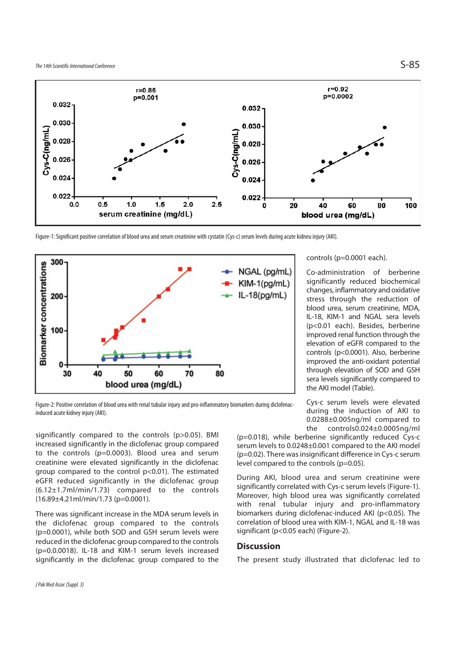

Figure-1: Significant positive correlation of blood urea and serum creatinine with cystatin (Cys-c) serum levels during acute kidneu injury (AKI).



#### controls (p=0.0001 each).

Co-administration of berberine significantly reduced biochemical changes, inflammatory and oxidative stress through the reduction of blood urea, serum creatinine, MDA, IL-18, KIM-1 and NGAL sera levels (p<0.01 each). Besides, berberine improved renal function through the elevation of eGFR compared to the controls (p<0.0001). Also, berberine improved the anti-oxidant potential through elevation of SOD and GSH sera levels significantly compared to the AKI model (Table).

Figure-2: Positive correlation of blood urea with renal tubular injury and pro-inflammatory biomarkers during diclofenacinduced acute kidney injury (AKI).

significantly compared to the controls (p>0.05). BMI increased significantly in the diclofenac group compared to the controls (p=0.0003). Blood urea and serum creatinine were elevated significantly in the diclofenac group compared to the control p<0.01). The estimated eGFR reduced significantly in the diclofenac group (6.12±1.7ml/min/1.73) compared to the controls (16.89±4.21ml/min/1.73 (p=0.0001).

There was significant increase in the MDA serum levels in the diclofenac group compared to the controls (p=0.0001), while both SOD and GSH serum levels were reduced in the diclofenac group compared to the controls (p=0.0.0018). IL-18 and KIM-1 serum levels increased significantly in the diclofenac group compared to the

Cys-c serum levels were elevated during the induction of AKI to 0.0288±0.005ng/ml compared to the controls0.024±0.0005ng/ml

(p=0.018), while berberine significantly reduced Cys-c serum levels to 0.0248±0.001 compared to the AKI model (p=0.02). There was insignificant difference in Cys-c serum level compared to the controls (p=0.05).

During AKI, blood urea and serum creatinine were significantly correlated with Cys-c serum levels (Figure-1). Moreover, high blood urea was significantly correlated with renal tubular injury and pro-inflammatory biomarkers during diclofenac-induced AKI (p<0.05). The correlation of blood urea with KIM-1, NGAL and IL-18 was significant (p<0.05 each) (Figure-2).

#### **Discussion**

The present study illustrated that diclofenac led to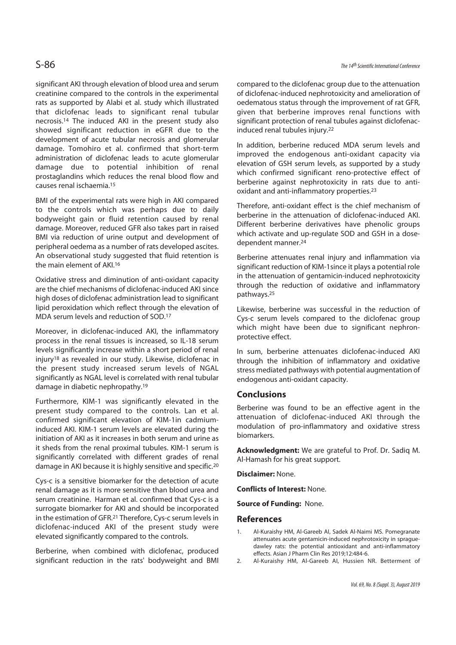significant AKI through elevation of blood urea and serum creatinine compared to the controls in the experimental rats as supported by Alabi et al. study which illustrated that diclofenac leads to significant renal tubular necrosis.14 The induced AKI in the present study also showed significant reduction in eGFR due to the development of acute tubular necrosis and glomerular damage. Tomohiro et al. confirmed that short-term administration of diclofenac leads to acute glomerular damage due to potential inhibition of renal prostaglandins which reduces the renal blood flow and causes renal ischaemia.15

BMI of the experimental rats were high in AKI compared to the controls which was perhaps due to daily bodyweight gain or fluid retention caused by renal damage. Moreover, reduced GFR also takes part in raised BMI via reduction of urine output and development of peripheral oedema as a number of rats developed ascites. An observational study suggested that fluid retention is the main element of AKI.16

Oxidative stress and diminution of anti-oxidant capacity are the chief mechanisms of diclofenac-induced AKI since high doses of diclofenac administration lead to significant lipid peroxidation which reflect through the elevation of MDA serum levels and reduction of SOD.17

Moreover, in diclofenac-induced AKI, the inflammatory process in the renal tissues is increased, so IL-18 serum levels significantly increase within a short period of renal injury18 as revealed in our study. Likewise, diclofenac in the present study increased serum levels of NGAL significantly as NGAL level is correlated with renal tubular damage in diabetic nephropathy.19

Furthermore, KIM-1 was significantly elevated in the present study compared to the controls. Lan et al. confirmed significant elevation of KIM-1in cadmiuminduced AKI. KIM-1 serum levels are elevated during the initiation of AKI as it increases in both serum and urine as it sheds from the renal proximal tubules. KIM-1 serum is significantly correlated with different grades of renal damage in AKI because it is highly sensitive and specific.20

Cys-c is a sensitive biomarker for the detection of acute renal damage as it is more sensitive than blood urea and serum creatinine. Harman et al. confirmed that Cys-c is a surrogate biomarker for AKI and should be incorporated in the estimation of GFR.21 Therefore, Cys-c serum levels in diclofenac-induced AKI of the present study were elevated significantly compared to the controls.

Berberine, when combined with diclofenac, produced significant reduction in the rats' bodyweight and BMI compared to the diclofenac group due to the attenuation of diclofenac-induced nephrotoxicity and amelioration of oedematous status through the improvement of rat GFR, given that berberine improves renal functions with significant protection of renal tubules against diclofenacinduced renal tubules injury.22

In addition, berberine reduced MDA serum levels and improved the endogenous anti-oxidant capacity via elevation of GSH serum levels, as supported by a study which confirmed significant reno-protective effect of berberine against nephrotoxicity in rats due to antioxidant and anti-inflammatory properties.23

Therefore, anti-oxidant effect is the chief mechanism of berberine in the attenuation of diclofenac-induced AKI. Different berberine derivatives have phenolic groups which activate and up-regulate SOD and GSH in a dosedependent manner.24

Berberine attenuates renal injury and inflammation via significant reduction of KIM-1since it plays a potential role in the attenuation of gentamicin-induced nephrotoxicity through the reduction of oxidative and inflammatory pathways.25

Likewise, berberine was successful in the reduction of Cys-c serum levels compared to the diclofenac group which might have been due to significant nephronprotective effect.

In sum, berberine attenuates diclofenac-induced AKI through the inhibition of inflammatory and oxidative stress mediated pathways with potential augmentation of endogenous anti-oxidant capacity.

#### **Conclusions**

Berberine was found to be an effective agent in the attenuation of diclofenac-induced AKI through the modulation of pro-inflammatory and oxidative stress biomarkers.

**Acknowledgment:** We are grateful to Prof. Dr. Sadiq M. Al-Hamash for his great support.

**Disclaimer:** None.

**Conflicts of Interest:** None.

**Source of Funding:** None.

#### **References**

- 1. Al-Kuraishy HM, Al-Gareeb AI, Sadek Al-Naimi MS. Pomegranate attenuates acute gentamicin-induced nephrotoxicity in spraguedawley rats: the potential antioxidant and anti-inflammatory effects. Asian J Pharm Clin Res 2019;12:484-6.
- 2. Al-Kuraishy HM, Al-Gareeb AI, Hussien NR. Betterment of